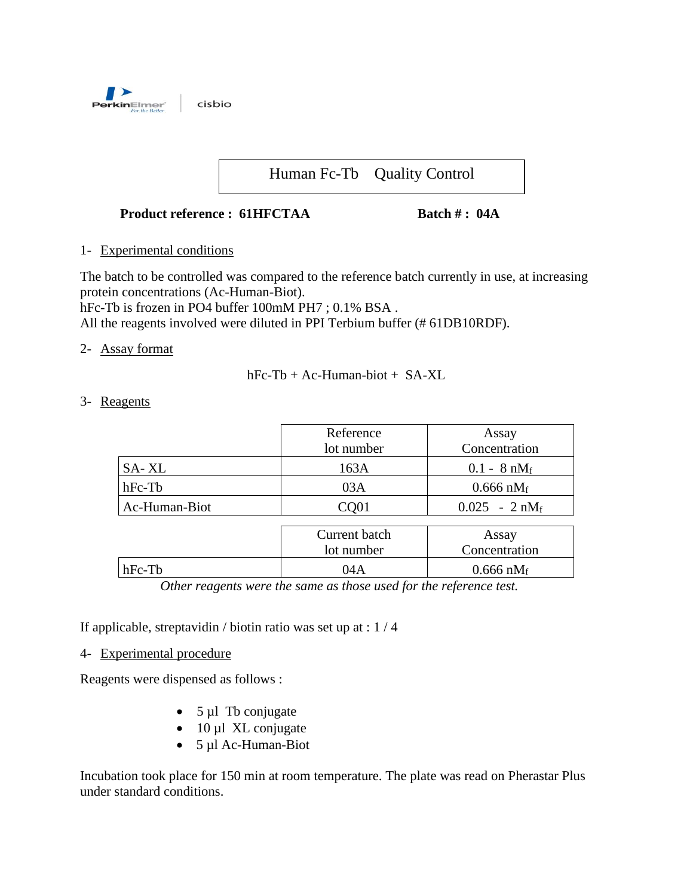

# Human Fc-Tb Quality Control

#### **Product reference : 61HFCTAA Batch # : 04A**

### 1- Experimental conditions

The batch to be controlled was compared to the reference batch currently in use, at increasing protein concentrations (Ac-Human-Biot).

hFc-Tb is frozen in PO4 buffer 100mM PH7 ; 0.1% BSA .

All the reagents involved were diluted in PPI Terbium buffer (# 61DB10RDF).

### 2- Assay format

 $hFc-Tb + Ac-Human-biot + SA-XL$ 

3- Reagents

|               | Reference     | Assay                  |  |
|---------------|---------------|------------------------|--|
|               | lot number    | Concentration          |  |
| SA-XL         | 163A          | $0.1 - 8 \text{ nM}_f$ |  |
| $hFc-Tb$      | 03A           | $0.666 \text{ nM}_f$   |  |
| Ac-Human-Biot | CQ01          | $0.025 - 2 nM_f$       |  |
|               |               |                        |  |
|               | Current batch | Assay                  |  |
|               | lot number    | Concentration          |  |

*Other reagents were the same as those used for the reference test.*

hFc-Tb  $04A$  0.666 nM<sub>f</sub>

If applicable, streptavidin / biotin ratio was set up at : 1 / 4

4- Experimental procedure

Reagents were dispensed as follows :

- $5 \mu l$  Tb conjugate
- $\bullet$  10 µl XL conjugate
- 5 µl Ac-Human-Biot

Incubation took place for 150 min at room temperature. The plate was read on Pherastar Plus under standard conditions.